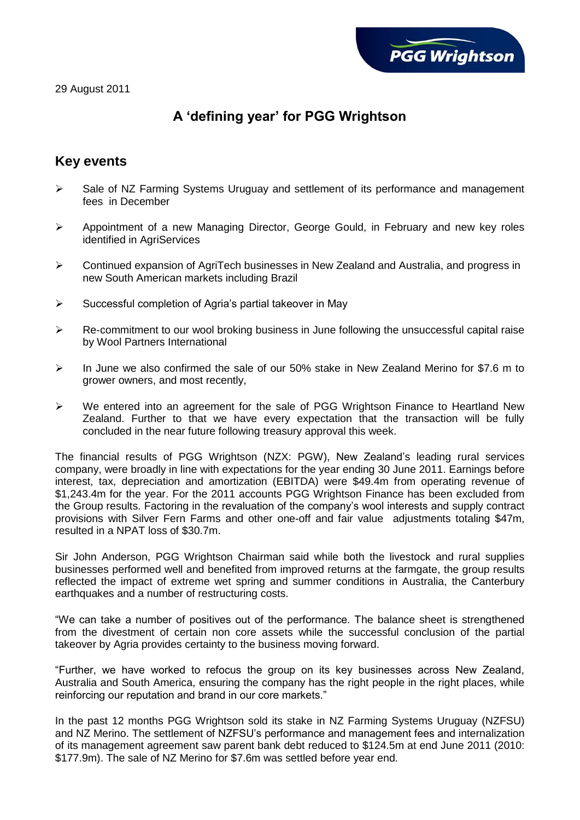

29 August 2011

# **A 'defining year' for PGG Wrightson**

# **Key events**

- $\triangleright$  Sale of NZ Farming Systems Uruguay and settlement of its performance and management fees in December
- $\triangleright$  Appointment of a new Managing Director, George Gould, in February and new key roles identified in AgriServices
- Continued expansion of AgriTech businesses in New Zealand and Australia, and progress in new South American markets including Brazil
- $\triangleright$  Successful completion of Agria's partial takeover in May
- $\triangleright$  Re-commitment to our wool broking business in June following the unsuccessful capital raise by Wool Partners International
- $\triangleright$  In June we also confirmed the sale of our 50% stake in New Zealand Merino for \$7.6 m to grower owners, and most recently,
- $\triangleright$  We entered into an agreement for the sale of PGG Wrightson Finance to Heartland New Zealand. Further to that we have every expectation that the transaction will be fully concluded in the near future following treasury approval this week.

The financial results of PGG Wrightson (NZX: PGW), New Zealand's leading rural services company, were broadly in line with expectations for the year ending 30 June 2011. Earnings before interest, tax, depreciation and amortization (EBITDA) were \$49.4m from operating revenue of \$1,243.4m for the year. For the 2011 accounts PGG Wrightson Finance has been excluded from the Group results. Factoring in the revaluation of the company's wool interests and supply contract provisions with Silver Fern Farms and other one-off and fair value adjustments totaling \$47m, resulted in a NPAT loss of \$30.7m.

Sir John Anderson, PGG Wrightson Chairman said while both the livestock and rural supplies businesses performed well and benefited from improved returns at the farmgate, the group results reflected the impact of extreme wet spring and summer conditions in Australia, the Canterbury earthquakes and a number of restructuring costs.

"We can take a number of positives out of the performance. The balance sheet is strengthened from the divestment of certain non core assets while the successful conclusion of the partial takeover by Agria provides certainty to the business moving forward.

"Further, we have worked to refocus the group on its key businesses across New Zealand, Australia and South America, ensuring the company has the right people in the right places, while reinforcing our reputation and brand in our core markets."

In the past 12 months PGG Wrightson sold its stake in NZ Farming Systems Uruguay (NZFSU) and NZ Merino. The settlement of NZFSU's performance and management fees and internalization of its management agreement saw parent bank debt reduced to \$124.5m at end June 2011 (2010: \$177.9m). The sale of NZ Merino for \$7.6m was settled before year end.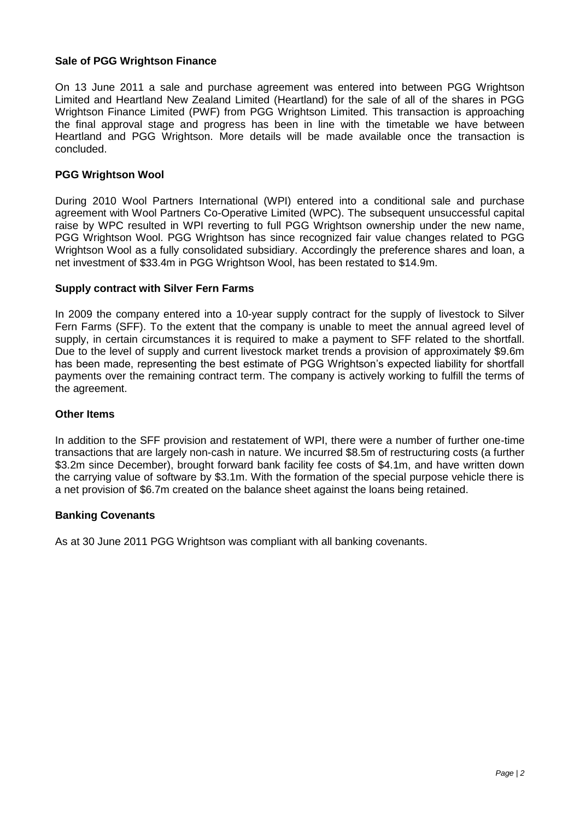### **Sale of PGG Wrightson Finance**

On 13 June 2011 a sale and purchase agreement was entered into between PGG Wrightson Limited and Heartland New Zealand Limited (Heartland) for the sale of all of the shares in PGG Wrightson Finance Limited (PWF) from PGG Wrightson Limited. This transaction is approaching the final approval stage and progress has been in line with the timetable we have between Heartland and PGG Wrightson. More details will be made available once the transaction is concluded.

#### **PGG Wrightson Wool**

During 2010 Wool Partners International (WPI) entered into a conditional sale and purchase agreement with Wool Partners Co-Operative Limited (WPC). The subsequent unsuccessful capital raise by WPC resulted in WPI reverting to full PGG Wrightson ownership under the new name, PGG Wrightson Wool. PGG Wrightson has since recognized fair value changes related to PGG Wrightson Wool as a fully consolidated subsidiary. Accordingly the preference shares and loan, a net investment of \$33.4m in PGG Wrightson Wool, has been restated to \$14.9m.

#### **Supply contract with Silver Fern Farms**

In 2009 the company entered into a 10-year supply contract for the supply of livestock to Silver Fern Farms (SFF). To the extent that the company is unable to meet the annual agreed level of supply, in certain circumstances it is required to make a payment to SFF related to the shortfall. Due to the level of supply and current livestock market trends a provision of approximately \$9.6m has been made, representing the best estimate of PGG Wrightson's expected liability for shortfall payments over the remaining contract term. The company is actively working to fulfill the terms of the agreement.

#### **Other Items**

In addition to the SFF provision and restatement of WPI, there were a number of further one-time transactions that are largely non-cash in nature. We incurred \$8.5m of restructuring costs (a further \$3.2m since December), brought forward bank facility fee costs of \$4.1m, and have written down the carrying value of software by \$3.1m. With the formation of the special purpose vehicle there is a net provision of \$6.7m created on the balance sheet against the loans being retained.

#### **Banking Covenants**

As at 30 June 2011 PGG Wrightson was compliant with all banking covenants.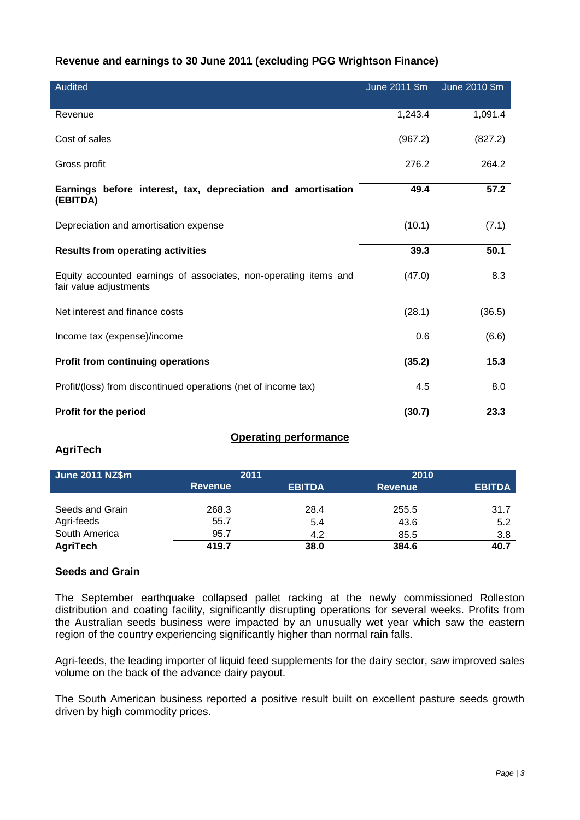## **Revenue and earnings to 30 June 2011 (excluding PGG Wrightson Finance)**

| <b>Audited</b>                                                                             | June 2011 \$m | June 2010 \$m |
|--------------------------------------------------------------------------------------------|---------------|---------------|
| Revenue                                                                                    | 1,243.4       | 1,091.4       |
| Cost of sales                                                                              | (967.2)       | (827.2)       |
| Gross profit                                                                               | 276.2         | 264.2         |
| Earnings before interest, tax, depreciation and amortisation<br>(EBITDA)                   | 49.4          | 57.2          |
| Depreciation and amortisation expense                                                      | (10.1)        | (7.1)         |
| <b>Results from operating activities</b>                                                   | 39.3          | 50.1          |
| Equity accounted earnings of associates, non-operating items and<br>fair value adjustments | (47.0)        | 8.3           |
| Net interest and finance costs                                                             | (28.1)        | (36.5)        |
| Income tax (expense)/income                                                                | 0.6           | (6.6)         |
| <b>Profit from continuing operations</b>                                                   | (35.2)        | 15.3          |
| Profit/(loss) from discontinued operations (net of income tax)                             | 4.5           | 8.0           |
| Profit for the period                                                                      | (30.7)        | 23.3          |

## **Operating performance**

## **AgriTech**

| <b>June 2011 NZ\$m</b> | 2011           |               | 2010           |               |
|------------------------|----------------|---------------|----------------|---------------|
|                        | <b>Revenue</b> | <b>EBITDA</b> | <b>Revenue</b> | <b>EBITDA</b> |
|                        |                |               |                |               |
| Seeds and Grain        | 268.3          | 28.4          | 255.5          | 31.7          |
| Agri-feeds             | 55.7           | 5.4           | 43.6           | 5.2           |
| South America          | 95.7           | 4.2           | 85.5           | 3.8           |
| AgriTech               | 419.7          | 38.0          | 384.6          | 40.7          |

# **Seeds and Grain**

The September earthquake collapsed pallet racking at the newly commissioned Rolleston distribution and coating facility, significantly disrupting operations for several weeks. Profits from the Australian seeds business were impacted by an unusually wet year which saw the eastern region of the country experiencing significantly higher than normal rain falls.

Agri-feeds, the leading importer of liquid feed supplements for the dairy sector, saw improved sales volume on the back of the advance dairy payout.

The South American business reported a positive result built on excellent pasture seeds growth driven by high commodity prices.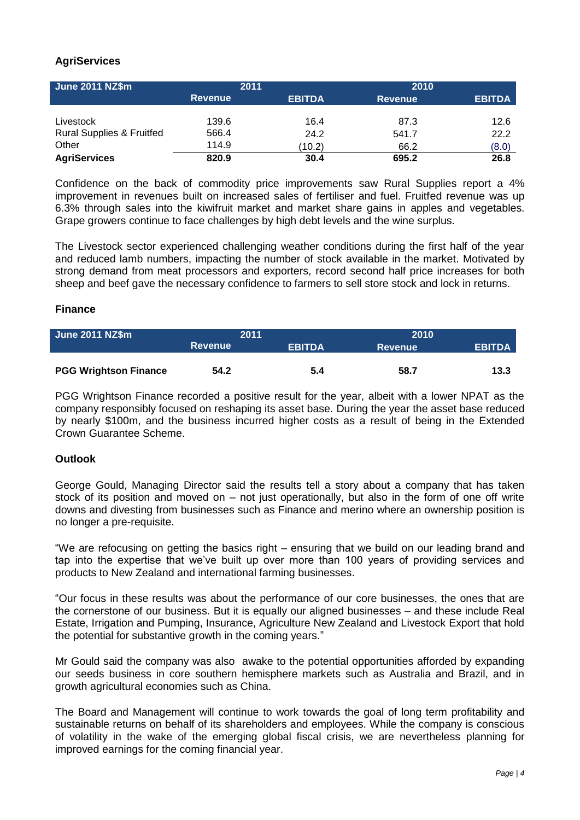# **AgriServices**

| <b>June 2011 NZ\$m</b>               | 2011           |               | 2010           |               |
|--------------------------------------|----------------|---------------|----------------|---------------|
|                                      | <b>Revenue</b> | <b>EBITDA</b> | <b>Revenue</b> | <b>EBITDA</b> |
|                                      |                |               |                |               |
| Livestock                            | 139.6          | 16.4          | 87.3           | 12.6          |
| <b>Rural Supplies &amp; Fruitfed</b> | 566.4          | 24.2          | 541.7          | 22.2          |
| Other                                | 114.9          | (10.2)        | 66.2           | (8.0)         |
| <b>AgriServices</b>                  | 820.9          | 30.4          | 695.2          | 26.8          |

Confidence on the back of commodity price improvements saw Rural Supplies report a 4% improvement in revenues built on increased sales of fertiliser and fuel. Fruitfed revenue was up 6.3% through sales into the kiwifruit market and market share gains in apples and vegetables. Grape growers continue to face challenges by high debt levels and the wine surplus.

The Livestock sector experienced challenging weather conditions during the first half of the year and reduced lamb numbers, impacting the number of stock available in the market. Motivated by strong demand from meat processors and exporters, record second half price increases for both sheep and beef gave the necessary confidence to farmers to sell store stock and lock in returns.

#### **Finance**

| <b>June 2011 NZ\$m</b>       | 2011           |               | 2010           |               |
|------------------------------|----------------|---------------|----------------|---------------|
|                              | <b>Revenue</b> | <b>EBITDA</b> | <b>Revenue</b> | <b>EBITDA</b> |
|                              |                |               |                |               |
| <b>PGG Wrightson Finance</b> | 54.2           | 5.4           | 58.7           | 13.3          |

PGG Wrightson Finance recorded a positive result for the year, albeit with a lower NPAT as the company responsibly focused on reshaping its asset base. During the year the asset base reduced by nearly \$100m, and the business incurred higher costs as a result of being in the Extended Crown Guarantee Scheme.

## **Outlook**

George Gould, Managing Director said the results tell a story about a company that has taken stock of its position and moved on – not just operationally, but also in the form of one off write downs and divesting from businesses such as Finance and merino where an ownership position is no longer a pre-requisite.

"We are refocusing on getting the basics right – ensuring that we build on our leading brand and tap into the expertise that we've built up over more than 100 years of providing services and products to New Zealand and international farming businesses.

"Our focus in these results was about the performance of our core businesses, the ones that are the cornerstone of our business. But it is equally our aligned businesses – and these include Real Estate, Irrigation and Pumping, Insurance, Agriculture New Zealand and Livestock Export that hold the potential for substantive growth in the coming years."

Mr Gould said the company was also awake to the potential opportunities afforded by expanding our seeds business in core southern hemisphere markets such as Australia and Brazil, and in growth agricultural economies such as China.

The Board and Management will continue to work towards the goal of long term profitability and sustainable returns on behalf of its shareholders and employees. While the company is conscious of volatility in the wake of the emerging global fiscal crisis, we are nevertheless planning for improved earnings for the coming financial year.